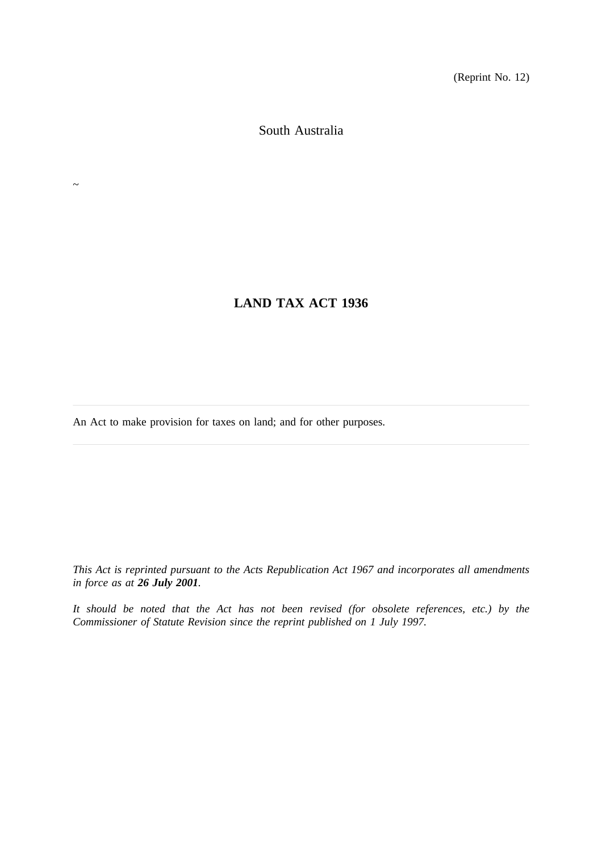(Reprint No. 12)

South Australia

**LAND TAX ACT 1936**

An Act to make provision for taxes on land; and for other purposes.

 $\sim$ 

*This Act is reprinted pursuant to the Acts Republication Act 1967 and incorporates all amendments in force as at 26 July 2001.*

*It should be noted that the Act has not been revised (for obsolete references, etc.) by the Commissioner of Statute Revision since the reprint published on 1 July 1997.*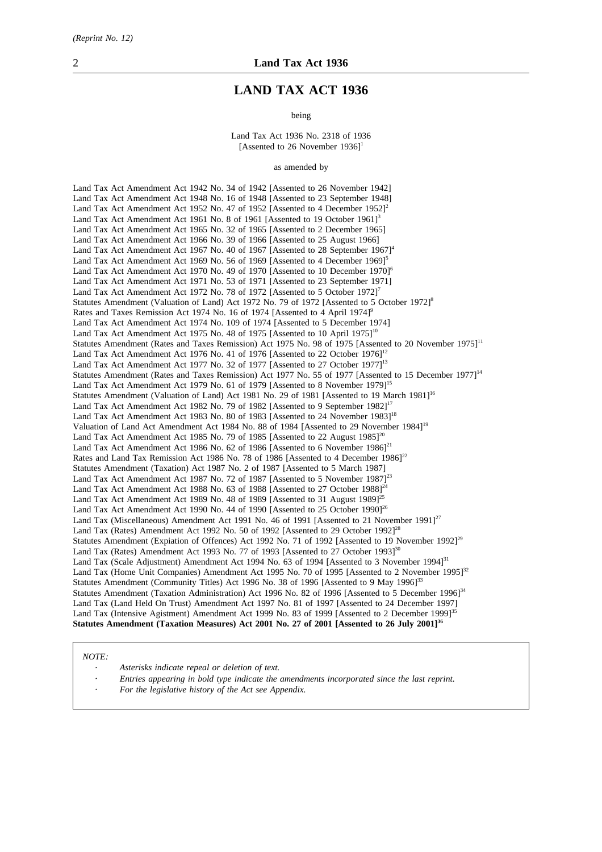# **LAND TAX ACT 1936**

#### being

#### Land Tax Act 1936 No. 2318 of 1936 [Assented to 26 November 1936]<sup>1</sup>

#### as amended by

Land Tax Act Amendment Act 1942 No. 34 of 1942 [Assented to 26 November 1942] Land Tax Act Amendment Act 1948 No. 16 of 1948 [Assented to 23 September 1948] Land Tax Act Amendment Act 1952 No. 47 of 1952 [Assented to 4 December 1952]<sup>2</sup> Land Tax Act Amendment Act 1961 No. 8 of 1961 [Assented to 19 October 1961]<sup>3</sup> Land Tax Act Amendment Act 1965 No. 32 of 1965 [Assented to 2 December 1965] Land Tax Act Amendment Act 1966 No. 39 of 1966 [Assented to 25 August 1966] Land Tax Act Amendment Act 1967 No. 40 of 1967 [Assented to 28 September 1967]<sup>4</sup> Land Tax Act Amendment Act 1969 No. 56 of 1969 [Assented to 4 December 1969]<sup>5</sup> Land Tax Act Amendment Act 1970 No. 49 of 1970 [Assented to 10 December 1970]<sup>6</sup> Land Tax Act Amendment Act 1971 No. 53 of 1971 [Assented to 23 September 1971] Land Tax Act Amendment Act 1972 No. 78 of 1972 [Assented to 5 October 1972]<sup>7</sup> Statutes Amendment (Valuation of Land) Act 1972 No. 79 of 1972 [Assented to 5 October 1972]<sup>8</sup> Rates and Taxes Remission Act 1974 No. 16 of 1974 [Assented to 4 April 1974]<sup>9</sup> Land Tax Act Amendment Act 1974 No. 109 of 1974 [Assented to 5 December 1974] Land Tax Act Amendment Act 1975 No. 48 of 1975 [Assented to 10 April 1975]<sup>10</sup> Statutes Amendment (Rates and Taxes Remission) Act 1975 No. 98 of 1975 [Assented to 20 November 1975]<sup>11</sup> Land Tax Act Amendment Act 1976 No. 41 of 1976 [Assented to 22 October 1976]<sup>12</sup> Land Tax Act Amendment Act 1977 No. 32 of 1977 [Assented to 27 October 1977]<sup>13</sup> Statutes Amendment (Rates and Taxes Remission) Act 1977 No. 55 of 1977 [Assented to 15 December 1977]<sup>14</sup> Land Tax Act Amendment Act 1979 No. 61 of 1979 [Assented to 8 November 1979]<sup>15</sup> Statutes Amendment (Valuation of Land) Act 1981 No. 29 of 1981 [Assented to 19 March 1981]<sup>16</sup> Land Tax Act Amendment Act 1982 No. 79 of 1982 [Assented to 9 September 1982]17 Land Tax Act Amendment Act 1983 No. 80 of 1983 [Assented to 24 November 1983]<sup>18</sup> Valuation of Land Act Amendment Act 1984 No. 88 of 1984 [Assented to 29 November 1984]<sup>19</sup> Land Tax Act Amendment Act 1985 No. 79 of 1985 [Assented to 22 August 1985]<sup>21</sup> Land Tax Act Amendment Act 1986 No. 62 of 1986 [Assented to 6 November 1986]<sup>21</sup> Rates and Land Tax Remission Act 1986 No. 78 of 1986 [Assented to 4 December 1986]<sup>22</sup> Statutes Amendment (Taxation) Act 1987 No. 2 of 1987 [Assented to 5 March 1987] Land Tax Act Amendment Act 1987 No. 72 of 1987 [Assented to 5 November 1987]<sup>23</sup> Land Tax Act Amendment Act 1988 No. 63 of 1988 [Assented to 27 October 1988]<sup>24</sup> Land Tax Act Amendment Act 1989 No. 48 of 1989 [Assented to 31 August 1989]<sup>25</sup> Land Tax Act Amendment Act 1990 No. 44 of 1990 [Assented to 25 October 1990]<sup>26</sup> Land Tax (Miscellaneous) Amendment Act 1991 No. 46 of 1991 [Assented to 21 November 1991]<sup>27</sup> Land Tax (Rates) Amendment Act 1992 No. 50 of 1992 [Assented to 29 October 1992]<sup>28</sup> Statutes Amendment (Expiation of Offences) Act 1992 No. 71 of 1992 [Assented to 19 November 1992]<sup>29</sup> Land Tax (Rates) Amendment Act 1993 No. 77 of 1993 [Assented to 27 October 1993] $^{30}$ Land Tax (Scale Adjustment) Amendment Act 1994 No. 63 of 1994 [Assented to 3 November 1994]<sup>31</sup> Land Tax (Home Unit Companies) Amendment Act 1995 No. 70 of 1995 [Assented to 2 November 1995]<sup>32</sup> Statutes Amendment (Community Titles) Act 1996 No. 38 of 1996 [Assented to 9 May 1996]<sup>33</sup> Statutes Amendment (Taxation Administration) Act 1996 No. 82 of 1996 [Assented to 5 December 1996]<sup>34</sup> Land Tax (Land Held On Trust) Amendment Act 1997 No. 81 of 1997 [Assented to 24 December 1997] Land Tax (Intensive Agistment) Amendment Act 1999 No. 83 of 1999 [Assented to 2 December 1999]<sup>35</sup> **Statutes Amendment (Taxation Measures) Act 2001 No. 27 of 2001 [Assented to 26 July 2001]36**

*NOTE:*

- *Asterisks indicate repeal or deletion of text.*
- *Entries appearing in bold type indicate the amendments incorporated since the last reprint.*
- *For the legislative history of the Act see Appendix.*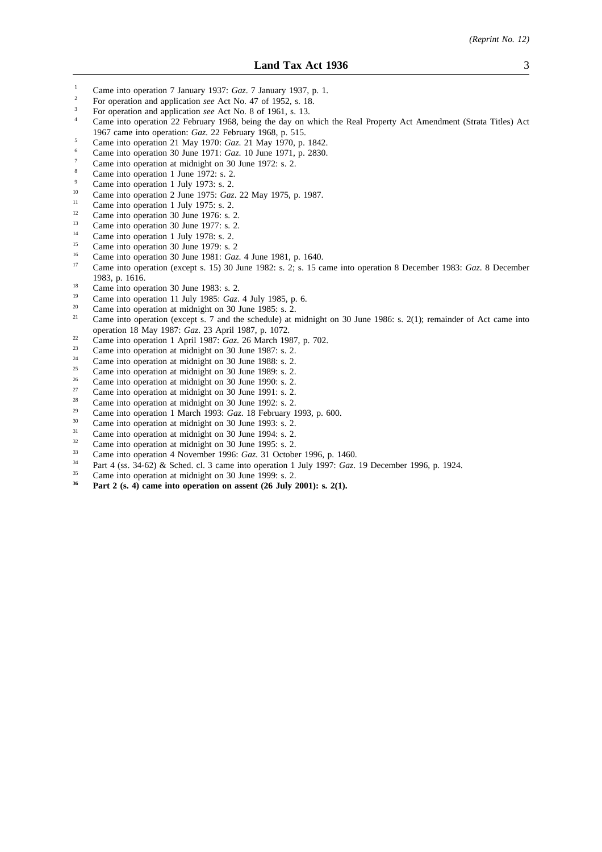- <sup>1</sup> Came into operation 7 January 1937: *Gaz.* 7 January 1937, p. 1.
- <sup>2</sup> For operation and application *see* Act No. 47 of 1952, s. 18.
- <sup>3</sup> For operation and application *see* Act No. 8 of 1961, s. 13.
- Came into operation 22 February 1968, being the day on which the Real Property Act Amendment (Strata Titles) Act 1967 came into operation: *Gaz*. 22 February 1968, p. 515.
- <sup>5</sup> Came into operation 21 May 1970: *Gaz*. 21 May 1970, p. 1842.
- <sup>6</sup> Came into operation 30 June 1971: *Gaz*. 10 June 1971, p. 2830.
- $\frac{7}{8}$  Came into operation at midnight on 30 June 1972: s. 2.
- Came into operation 1 June 1972: s. 2.
- $^{9}$  Came into operation 1 July 1973: s. 2.
- <sup>10</sup> Came into operation 2 June 1975: *Gaz*. 22 May 1975, p. 1987.
- <sup>11</sup> Came into operation 1 July 1975: s. 2.<br><sup>12</sup> Came into operation <sup>20</sup> June 1976: s. 2.
- <sup>12</sup> Came into operation 30 June 1976: s. 2.<br><sup>13</sup> Came into approxima 20 June 1977: s. 2.
- <sup>13</sup> Came into operation 30 June 1977: s. 2.<br><sup>14</sup> Came into operation 1 July 1978: s. 2.
- <sup>14</sup> Came into operation 1 July 1978: s. 2.<br><sup>15</sup> Came into approxima 20 June 1070: s. 2.
- <sup>15</sup> Came into operation 30 June 1979: s. 2
- <sup>16</sup> Came into operation 30 June 1981: *Gaz*. 4 June 1981, p. 1640.
- <sup>17</sup> Came into operation (except s. 15) 30 June 1982: s. 2; s. 15 came into operation 8 December 1983: *Gaz*. 8 December 1983, p. 1616.
- <sup>18</sup> Came into operation 30 June 1983: s. 2.<br><sup>19</sup> Came into operation 11 July 1985: Came
- <sup>19</sup> Came into operation 11 July 1985: *Gaz*. 4 July 1985, p. 6.<br>
<sup>20</sup> Came into operation at midnight on 20 June 1085, a 2
- <sup>20</sup> Came into operation at midnight on 30 June 1985: s. 2.
- <sup>21</sup> Came into operation (except s. 7 and the schedule) at midnight on 30 June 1986: s. 2(1); remainder of Act came into operation 18 May 1987: *Gaz*. 23 April 1987, p. 1072.
- <sup>22</sup> Came into operation 1 April 1987: *Gaz*. 26 March 1987, p. 702.<br>Came into operation 4 milkil 1987: *Gaz*. 26 March 1987, p. 702.
- <sup>23</sup> Came into operation at midnight on 30 June 1987: s. 2.<br><sup>24</sup>
- <sup>24</sup> Came into operation at midnight on 30 June 1988: s. 2.<br>
Come into operation at midnight on  $20 \text{ J}$ une 1980: s. 2.
- <sup>25</sup> Came into operation at midnight on 30 June 1989: s. 2.
- <sup>26</sup> Came into operation at midnight on 30 June 1990: s. 2.<br>
<sup>27</sup>
- <sup>27</sup> Came into operation at midnight on 30 June 1991: s. 2.<br><sup>28</sup> Came into operation at midnight on  $20 \text{ J}$ une 1002: s. 2.
- <sup>28</sup> Came into operation at midnight on 30 June 1992: s. 2.<br><sup>29</sup> Came into a particular 1. March 1992:  $C_{\text{max}}$  1.8 February 1.
- <sup>29</sup> Came into operation 1 March 1993: *Gaz*. 18 February 1993, p. 600.
- $\frac{30}{10}$  Came into operation at midnight on 30 June 1993: s. 2.
- $\frac{31}{32}$  Came into operation at midnight on 30 June 1994: s. 2.  $\frac{32}{33}$  Came into operation at midnight on 30 June 1995: s. 2.
- <sup>33</sup> Came into operation 4 November 1996: *Gaz*. 31 October 1996, p. 1460.
- <sup>34</sup> Part 4 (ss. 34-62) & Sched. cl. 3 came into operation 1 July 1997: *Gaz*. 19 December 1996, p. 1924.
- <sup>35</sup> Came into operation at midnight on 30 June 1999: s. 2.<br> $\frac{36}{2}$  Port 2 (s. 4) game into operation on secont (26 July)
- **<sup>36</sup> Part 2 (s. 4) came into operation on assent (26 July 2001): s. 2(1).**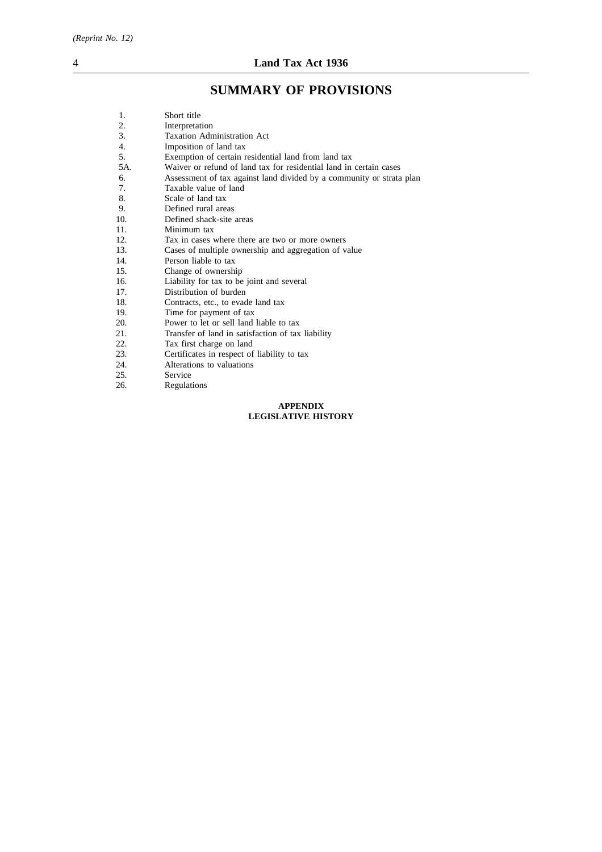# **SUMMARY OF PROVISIONS**

| 1.              | Short title                                                          |  |
|-----------------|----------------------------------------------------------------------|--|
| 2.              | Interpretation                                                       |  |
| 3.              | <b>Taxation Administration Act</b>                                   |  |
| 4.              | Imposition of land tax                                               |  |
| 5.              | Exemption of certain residential land from land tax                  |  |
| 5A.             | Waiver or refund of land tax for residential land in certain cases   |  |
| 6.              | Assessment of tax against land divided by a community or strata plan |  |
| 7.              | Taxable value of land                                                |  |
| 8.              | Scale of land tax                                                    |  |
| 9.              | Defined rural areas                                                  |  |
| 10.             | Defined shack-site areas                                             |  |
| 11.             | Minimum tax                                                          |  |
| 12.             | Tax in cases where there are two or more owners                      |  |
| 13.             | Cases of multiple ownership and aggregation of value                 |  |
| 14 <sub>1</sub> | Person liable to tax                                                 |  |
| 15.             | Change of ownership                                                  |  |
| 16.             | Liability for tax to be joint and several                            |  |
| 17.             | Distribution of burden                                               |  |
| 18.             | Contracts, etc., to evade land tax                                   |  |
| 19.             | Time for payment of tax                                              |  |
| 20.             | Power to let or sell land liable to tax                              |  |
| 21.             | Transfer of land in satisfaction of tax liability                    |  |
| 22.             | Tax first charge on land                                             |  |
| 23.             | Certificates in respect of liability to tax                          |  |
| 24.             | Alterations to valuations                                            |  |
| 25.             | Service                                                              |  |
| 26.             | Regulations                                                          |  |
|                 | <b>APPENDIX</b>                                                      |  |
|                 | <b>LEGISLATIVE HISTORY</b>                                           |  |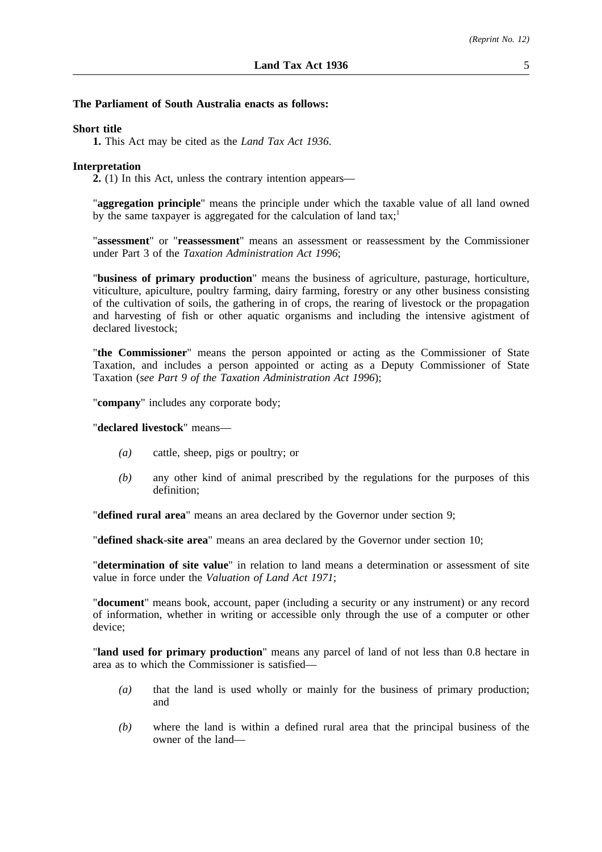### **The Parliament of South Australia enacts as follows:**

## **Short title**

**1.** This Act may be cited as the *Land Tax Act 1936*.

### **Interpretation**

**2.** (1) In this Act, unless the contrary intention appears—

"**aggregation principle**" means the principle under which the taxable value of all land owned by the same taxpayer is aggregated for the calculation of land  $\text{taxi}^1$ 

"**assessment**" or "**reassessment**" means an assessment or reassessment by the Commissioner under Part 3 of the *Taxation Administration Act 1996*;

"**business of primary production**" means the business of agriculture, pasturage, horticulture, viticulture, apiculture, poultry farming, dairy farming, forestry or any other business consisting of the cultivation of soils, the gathering in of crops, the rearing of livestock or the propagation and harvesting of fish or other aquatic organisms and including the intensive agistment of declared livestock;

"**the Commissioner**" means the person appointed or acting as the Commissioner of State Taxation, and includes a person appointed or acting as a Deputy Commissioner of State Taxation (*see Part 9 of the Taxation Administration Act 1996*);

"**company**" includes any corporate body;

"**declared livestock**" means—

- *(a)* cattle, sheep, pigs or poultry; or
- *(b)* any other kind of animal prescribed by the regulations for the purposes of this definition;

"**defined rural area**" means an area declared by the Governor under section 9;

"**defined shack-site area**" means an area declared by the Governor under section 10;

"**determination of site value**" in relation to land means a determination or assessment of site value in force under the *Valuation of Land Act 1971*;

"**document**" means book, account, paper (including a security or any instrument) or any record of information, whether in writing or accessible only through the use of a computer or other device;

"**land used for primary production**" means any parcel of land of not less than 0.8 hectare in area as to which the Commissioner is satisfied—

- *(a)* that the land is used wholly or mainly for the business of primary production; and
- *(b)* where the land is within a defined rural area that the principal business of the owner of the land—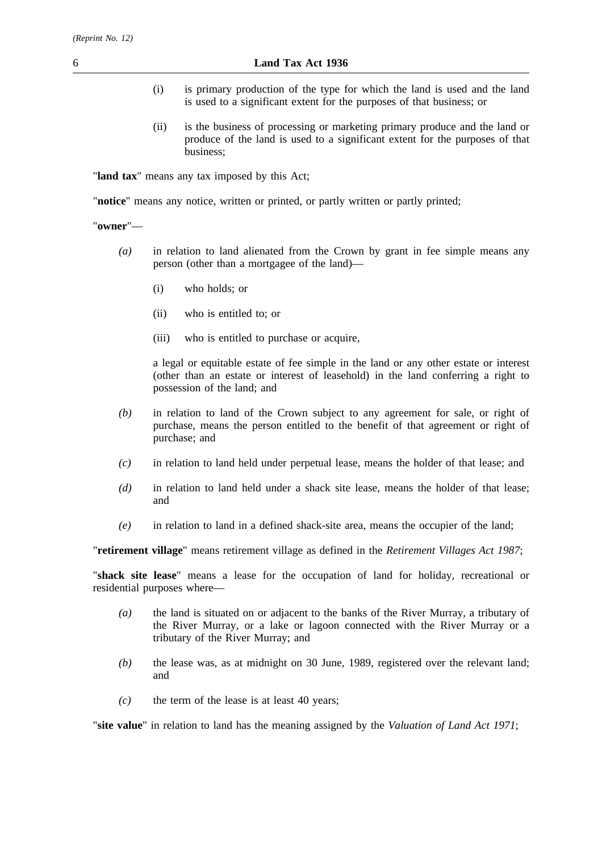- (i) is primary production of the type for which the land is used and the land is used to a significant extent for the purposes of that business; or
- (ii) is the business of processing or marketing primary produce and the land or produce of the land is used to a significant extent for the purposes of that business;

"**land tax**" means any tax imposed by this Act;

"**notice**" means any notice, written or printed, or partly written or partly printed;

"**owner**"—

- *(a)* in relation to land alienated from the Crown by grant in fee simple means any person (other than a mortgagee of the land)—
	- (i) who holds; or
	- (ii) who is entitled to; or
	- (iii) who is entitled to purchase or acquire,

a legal or equitable estate of fee simple in the land or any other estate or interest (other than an estate or interest of leasehold) in the land conferring a right to possession of the land; and

- *(b)* in relation to land of the Crown subject to any agreement for sale, or right of purchase, means the person entitled to the benefit of that agreement or right of purchase; and
- *(c)* in relation to land held under perpetual lease, means the holder of that lease; and
- *(d)* in relation to land held under a shack site lease, means the holder of that lease; and
- *(e)* in relation to land in a defined shack-site area, means the occupier of the land;

"**retirement village**" means retirement village as defined in the *Retirement Villages Act 1987*;

"**shack site lease**" means a lease for the occupation of land for holiday, recreational or residential purposes where—

- *(a)* the land is situated on or adjacent to the banks of the River Murray, a tributary of the River Murray, or a lake or lagoon connected with the River Murray or a tributary of the River Murray; and
- *(b)* the lease was, as at midnight on 30 June, 1989, registered over the relevant land; and
- *(c)* the term of the lease is at least 40 years;

"**site value**" in relation to land has the meaning assigned by the *Valuation of Land Act 1971*;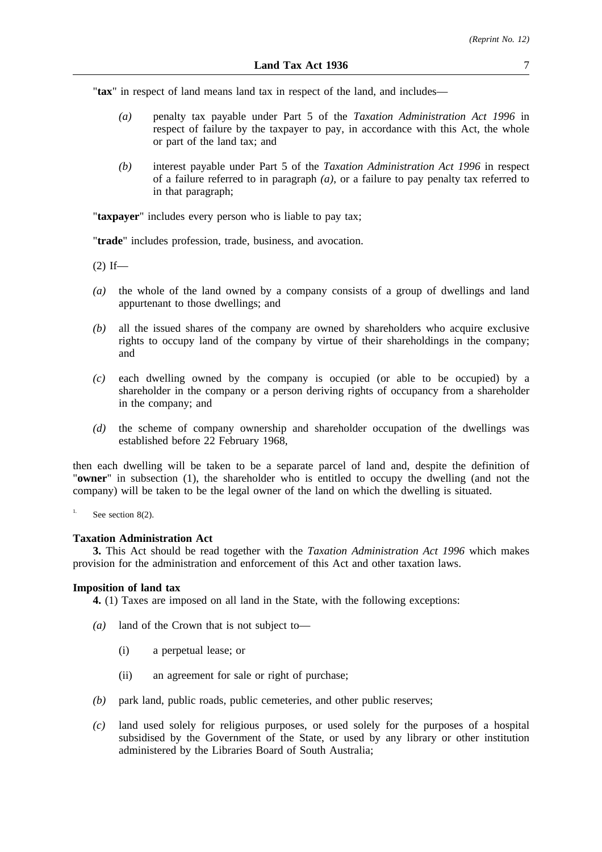"**tax**" in respect of land means land tax in respect of the land, and includes—

- *(a)* penalty tax payable under Part 5 of the *Taxation Administration Act 1996* in respect of failure by the taxpayer to pay, in accordance with this Act, the whole or part of the land tax; and
- *(b)* interest payable under Part 5 of the *Taxation Administration Act 1996* in respect of a failure referred to in paragraph *(a)*, or a failure to pay penalty tax referred to in that paragraph;

"**taxpayer**" includes every person who is liable to pay tax;

"**trade**" includes profession, trade, business, and avocation.

 $(2)$  If—

- *(a)* the whole of the land owned by a company consists of a group of dwellings and land appurtenant to those dwellings; and
- *(b)* all the issued shares of the company are owned by shareholders who acquire exclusive rights to occupy land of the company by virtue of their shareholdings in the company; and
- *(c)* each dwelling owned by the company is occupied (or able to be occupied) by a shareholder in the company or a person deriving rights of occupancy from a shareholder in the company; and
- *(d)* the scheme of company ownership and shareholder occupation of the dwellings was established before 22 February 1968,

then each dwelling will be taken to be a separate parcel of land and, despite the definition of "**owner**" in subsection (1), the shareholder who is entitled to occupy the dwelling (and not the company) will be taken to be the legal owner of the land on which the dwelling is situated.

See section 8(2).

# **Taxation Administration Act**

**3.** This Act should be read together with the *Taxation Administration Act 1996* which makes provision for the administration and enforcement of this Act and other taxation laws.

#### **Imposition of land tax**

**4.** (1) Taxes are imposed on all land in the State, with the following exceptions:

- *(a)* land of the Crown that is not subject to—
	- (i) a perpetual lease; or
	- (ii) an agreement for sale or right of purchase;
- *(b)* park land, public roads, public cemeteries, and other public reserves;
- *(c)* land used solely for religious purposes, or used solely for the purposes of a hospital subsidised by the Government of the State, or used by any library or other institution administered by the Libraries Board of South Australia;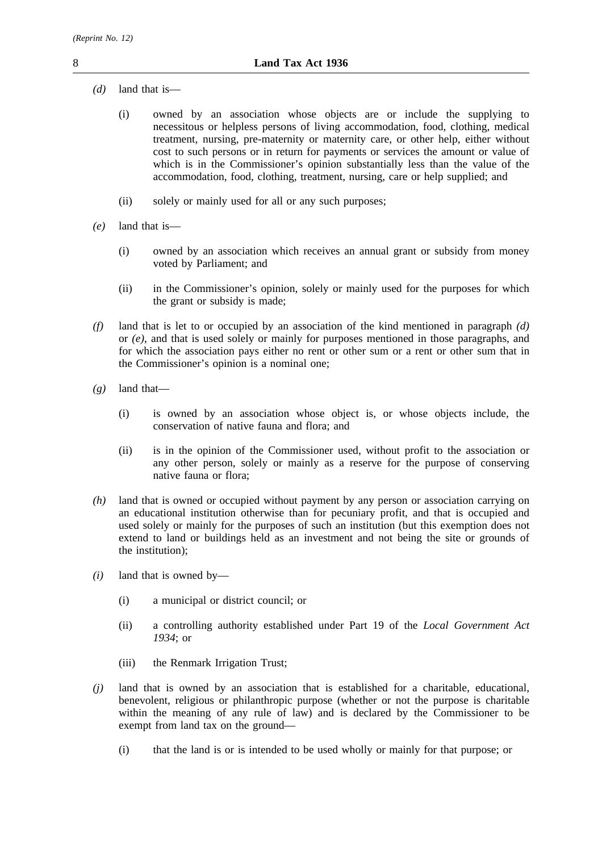- *(d)* land that is—
	- (i) owned by an association whose objects are or include the supplying to necessitous or helpless persons of living accommodation, food, clothing, medical treatment, nursing, pre-maternity or maternity care, or other help, either without cost to such persons or in return for payments or services the amount or value of which is in the Commissioner's opinion substantially less than the value of the accommodation, food, clothing, treatment, nursing, care or help supplied; and
	- (ii) solely or mainly used for all or any such purposes;
- *(e)* land that is—
	- (i) owned by an association which receives an annual grant or subsidy from money voted by Parliament; and
	- (ii) in the Commissioner's opinion, solely or mainly used for the purposes for which the grant or subsidy is made;
- *(f)* land that is let to or occupied by an association of the kind mentioned in paragraph *(d)* or *(e)*, and that is used solely or mainly for purposes mentioned in those paragraphs, and for which the association pays either no rent or other sum or a rent or other sum that in the Commissioner's opinion is a nominal one;
- *(g)* land that—
	- (i) is owned by an association whose object is, or whose objects include, the conservation of native fauna and flora; and
	- (ii) is in the opinion of the Commissioner used, without profit to the association or any other person, solely or mainly as a reserve for the purpose of conserving native fauna or flora;
- *(h)* land that is owned or occupied without payment by any person or association carrying on an educational institution otherwise than for pecuniary profit, and that is occupied and used solely or mainly for the purposes of such an institution (but this exemption does not extend to land or buildings held as an investment and not being the site or grounds of the institution);
- *(i)* land that is owned by—
	- (i) a municipal or district council; or
	- (ii) a controlling authority established under Part 19 of the *Local Government Act 1934*; or
	- (iii) the Renmark Irrigation Trust;
- *(j)* land that is owned by an association that is established for a charitable, educational, benevolent, religious or philanthropic purpose (whether or not the purpose is charitable within the meaning of any rule of law) and is declared by the Commissioner to be exempt from land tax on the ground—
	- (i) that the land is or is intended to be used wholly or mainly for that purpose; or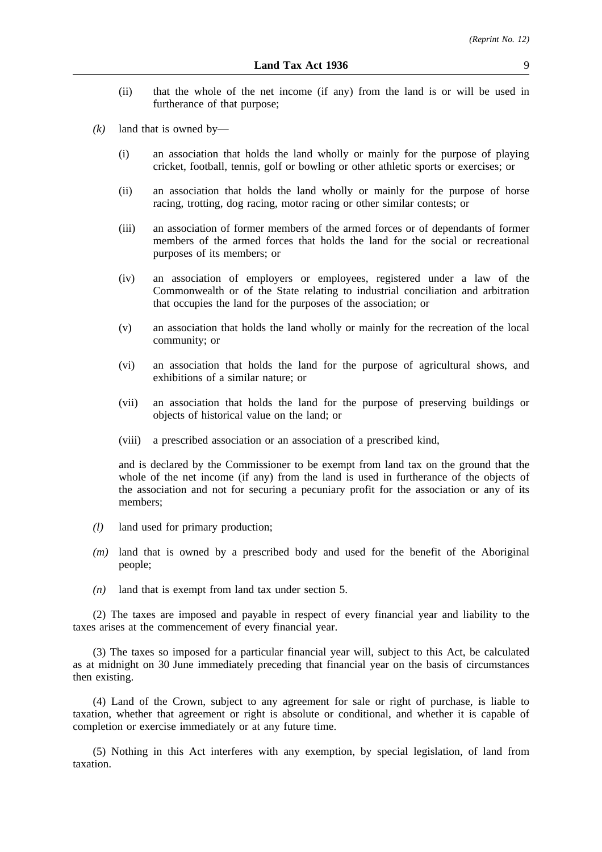- (ii) that the whole of the net income (if any) from the land is or will be used in furtherance of that purpose;
- *(k)* land that is owned by—
	- (i) an association that holds the land wholly or mainly for the purpose of playing cricket, football, tennis, golf or bowling or other athletic sports or exercises; or
	- (ii) an association that holds the land wholly or mainly for the purpose of horse racing, trotting, dog racing, motor racing or other similar contests; or
	- (iii) an association of former members of the armed forces or of dependants of former members of the armed forces that holds the land for the social or recreational purposes of its members; or
	- (iv) an association of employers or employees, registered under a law of the Commonwealth or of the State relating to industrial conciliation and arbitration that occupies the land for the purposes of the association; or
	- (v) an association that holds the land wholly or mainly for the recreation of the local community; or
	- (vi) an association that holds the land for the purpose of agricultural shows, and exhibitions of a similar nature; or
	- (vii) an association that holds the land for the purpose of preserving buildings or objects of historical value on the land; or
	- (viii) a prescribed association or an association of a prescribed kind,

and is declared by the Commissioner to be exempt from land tax on the ground that the whole of the net income (if any) from the land is used in furtherance of the objects of the association and not for securing a pecuniary profit for the association or any of its members;

- *(l)* land used for primary production;
- *(m)* land that is owned by a prescribed body and used for the benefit of the Aboriginal people;
- *(n)* land that is exempt from land tax under section 5.

(2) The taxes are imposed and payable in respect of every financial year and liability to the taxes arises at the commencement of every financial year.

(3) The taxes so imposed for a particular financial year will, subject to this Act, be calculated as at midnight on 30 June immediately preceding that financial year on the basis of circumstances then existing.

(4) Land of the Crown, subject to any agreement for sale or right of purchase, is liable to taxation, whether that agreement or right is absolute or conditional, and whether it is capable of completion or exercise immediately or at any future time.

(5) Nothing in this Act interferes with any exemption, by special legislation, of land from taxation.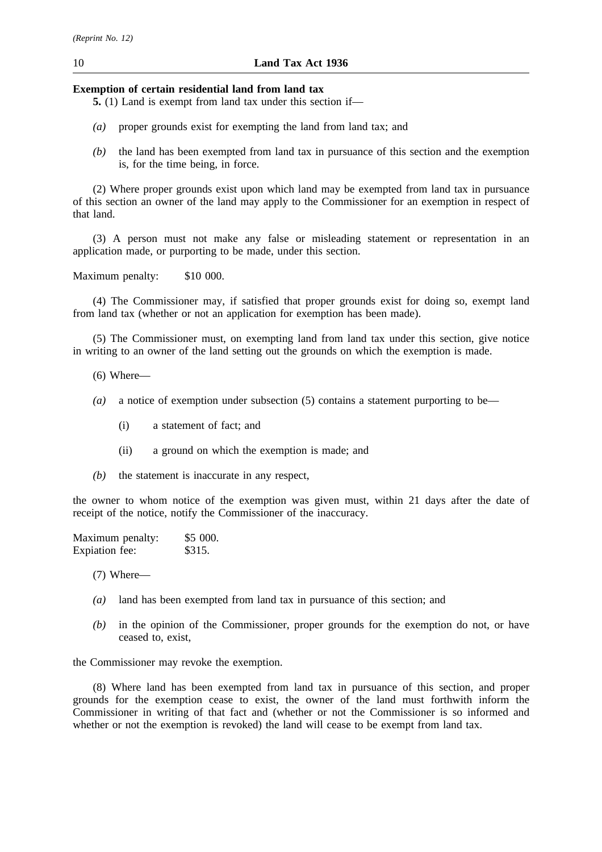### **Exemption of certain residential land from land tax**

**5.** (1) Land is exempt from land tax under this section if—

- *(a)* proper grounds exist for exempting the land from land tax; and
- *(b)* the land has been exempted from land tax in pursuance of this section and the exemption is, for the time being, in force.

(2) Where proper grounds exist upon which land may be exempted from land tax in pursuance of this section an owner of the land may apply to the Commissioner for an exemption in respect of that land.

(3) A person must not make any false or misleading statement or representation in an application made, or purporting to be made, under this section.

Maximum penalty: \$10 000.

(4) The Commissioner may, if satisfied that proper grounds exist for doing so, exempt land from land tax (whether or not an application for exemption has been made).

(5) The Commissioner must, on exempting land from land tax under this section, give notice in writing to an owner of the land setting out the grounds on which the exemption is made.

(6) Where—

- *(a)* a notice of exemption under subsection (5) contains a statement purporting to be—
	- (i) a statement of fact; and
	- (ii) a ground on which the exemption is made; and
- *(b)* the statement is inaccurate in any respect,

the owner to whom notice of the exemption was given must, within 21 days after the date of receipt of the notice, notify the Commissioner of the inaccuracy.

Maximum penalty: \$5 000. Expiation fee: \$315.

(7) Where—

- *(a)* land has been exempted from land tax in pursuance of this section; and
- *(b)* in the opinion of the Commissioner, proper grounds for the exemption do not, or have ceased to, exist,

the Commissioner may revoke the exemption.

(8) Where land has been exempted from land tax in pursuance of this section, and proper grounds for the exemption cease to exist, the owner of the land must forthwith inform the Commissioner in writing of that fact and (whether or not the Commissioner is so informed and whether or not the exemption is revoked) the land will cease to be exempt from land tax.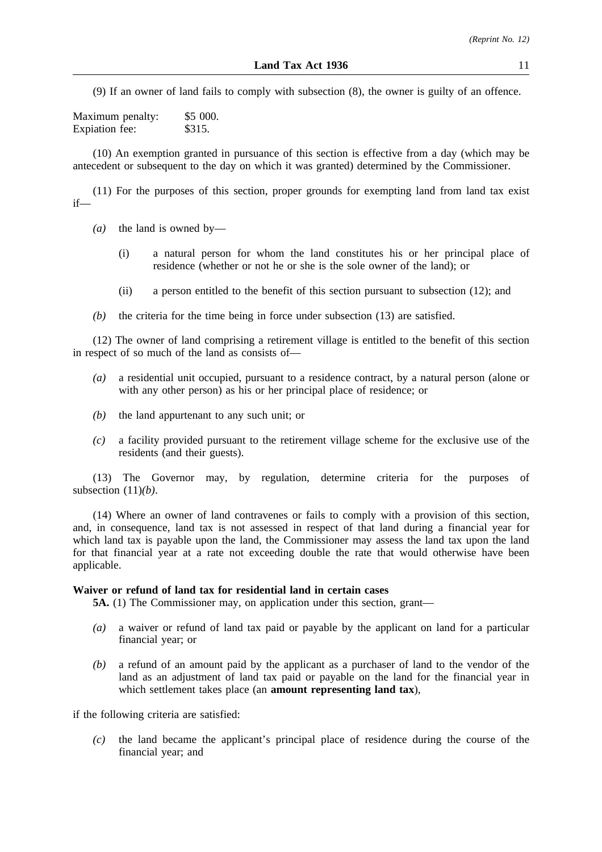(9) If an owner of land fails to comply with subsection (8), the owner is guilty of an offence.

Maximum penalty: \$5 000.<br>Expiation fee: \$315. Expiation fee:

(10) An exemption granted in pursuance of this section is effective from a day (which may be antecedent or subsequent to the day on which it was granted) determined by the Commissioner.

(11) For the purposes of this section, proper grounds for exempting land from land tax exist if—

- *(a)* the land is owned by—
	- (i) a natural person for whom the land constitutes his or her principal place of residence (whether or not he or she is the sole owner of the land); or
	- (ii) a person entitled to the benefit of this section pursuant to subsection (12); and
- *(b)* the criteria for the time being in force under subsection (13) are satisfied.

(12) The owner of land comprising a retirement village is entitled to the benefit of this section in respect of so much of the land as consists of—

- *(a)* a residential unit occupied, pursuant to a residence contract, by a natural person (alone or with any other person) as his or her principal place of residence; or
- *(b)* the land appurtenant to any such unit; or
- *(c)* a facility provided pursuant to the retirement village scheme for the exclusive use of the residents (and their guests).

(13) The Governor may, by regulation, determine criteria for the purposes of subsection (11)*(b)*.

(14) Where an owner of land contravenes or fails to comply with a provision of this section, and, in consequence, land tax is not assessed in respect of that land during a financial year for which land tax is payable upon the land, the Commissioner may assess the land tax upon the land for that financial year at a rate not exceeding double the rate that would otherwise have been applicable.

### **Waiver or refund of land tax for residential land in certain cases**

**5A.** (1) The Commissioner may, on application under this section, grant—

- *(a)* a waiver or refund of land tax paid or payable by the applicant on land for a particular financial year; or
- *(b)* a refund of an amount paid by the applicant as a purchaser of land to the vendor of the land as an adjustment of land tax paid or payable on the land for the financial year in which settlement takes place (an **amount representing land tax**),

if the following criteria are satisfied:

*(c)* the land became the applicant's principal place of residence during the course of the financial year; and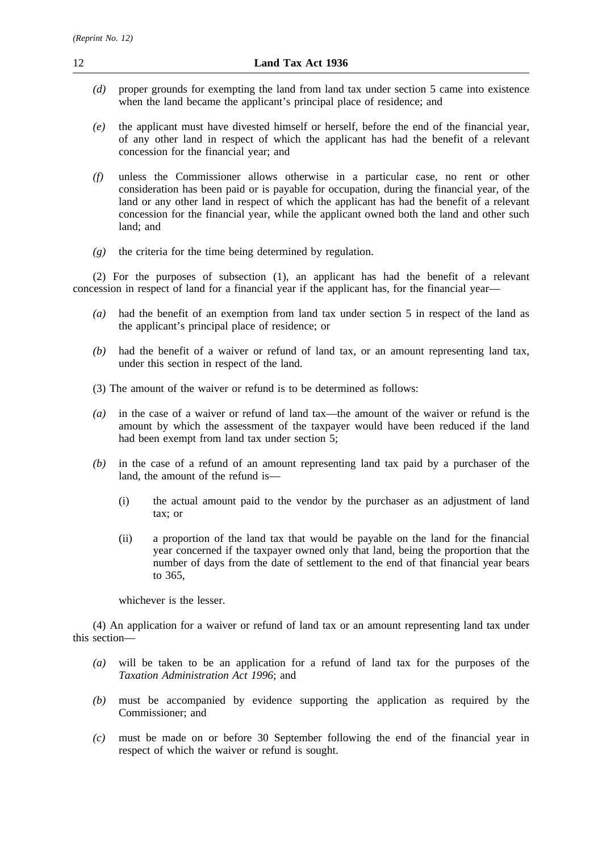- *(d)* proper grounds for exempting the land from land tax under section 5 came into existence when the land became the applicant's principal place of residence; and
- *(e)* the applicant must have divested himself or herself, before the end of the financial year, of any other land in respect of which the applicant has had the benefit of a relevant concession for the financial year; and
- *(f)* unless the Commissioner allows otherwise in a particular case, no rent or other consideration has been paid or is payable for occupation, during the financial year, of the land or any other land in respect of which the applicant has had the benefit of a relevant concession for the financial year, while the applicant owned both the land and other such land; and
- *(g)* the criteria for the time being determined by regulation.

(2) For the purposes of subsection (1), an applicant has had the benefit of a relevant concession in respect of land for a financial year if the applicant has, for the financial year—

- *(a)* had the benefit of an exemption from land tax under section 5 in respect of the land as the applicant's principal place of residence; or
- *(b)* had the benefit of a waiver or refund of land tax, or an amount representing land tax, under this section in respect of the land.
- (3) The amount of the waiver or refund is to be determined as follows:
- *(a)* in the case of a waiver or refund of land tax—the amount of the waiver or refund is the amount by which the assessment of the taxpayer would have been reduced if the land had been exempt from land tax under section 5;
- *(b)* in the case of a refund of an amount representing land tax paid by a purchaser of the land, the amount of the refund is—
	- (i) the actual amount paid to the vendor by the purchaser as an adjustment of land tax; or
	- (ii) a proportion of the land tax that would be payable on the land for the financial year concerned if the taxpayer owned only that land, being the proportion that the number of days from the date of settlement to the end of that financial year bears to 365,

whichever is the lesser.

(4) An application for a waiver or refund of land tax or an amount representing land tax under this section—

- *(a)* will be taken to be an application for a refund of land tax for the purposes of the *Taxation Administration Act 1996*; and
- *(b)* must be accompanied by evidence supporting the application as required by the Commissioner; and
- *(c)* must be made on or before 30 September following the end of the financial year in respect of which the waiver or refund is sought.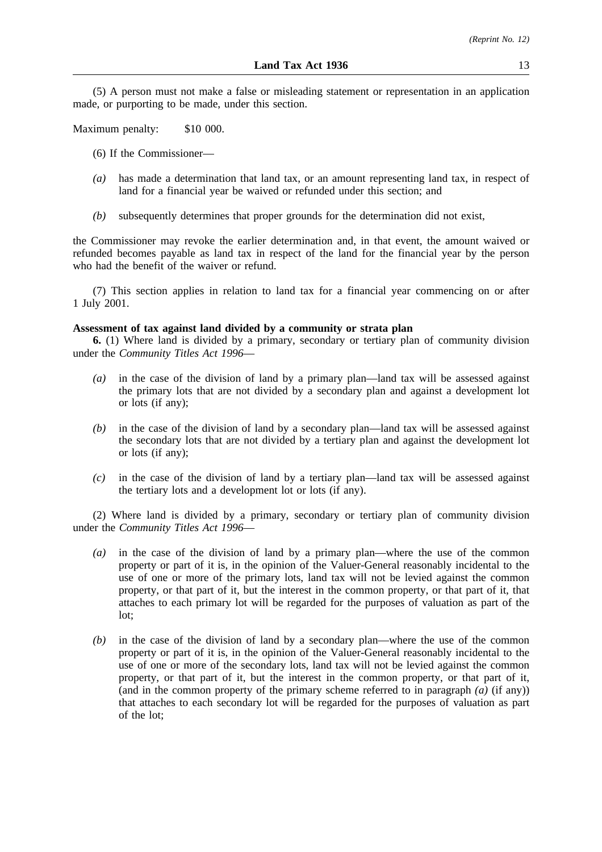(5) A person must not make a false or misleading statement or representation in an application made, or purporting to be made, under this section.

Maximum penalty: \$10 000.

- (6) If the Commissioner—
- *(a)* has made a determination that land tax, or an amount representing land tax, in respect of land for a financial year be waived or refunded under this section; and
- *(b)* subsequently determines that proper grounds for the determination did not exist,

the Commissioner may revoke the earlier determination and, in that event, the amount waived or refunded becomes payable as land tax in respect of the land for the financial year by the person who had the benefit of the waiver or refund.

(7) This section applies in relation to land tax for a financial year commencing on or after 1 July 2001.

### **Assessment of tax against land divided by a community or strata plan**

**6.** (1) Where land is divided by a primary, secondary or tertiary plan of community division under the *Community Titles Act 1996*—

- *(a)* in the case of the division of land by a primary plan—land tax will be assessed against the primary lots that are not divided by a secondary plan and against a development lot or lots (if any);
- *(b)* in the case of the division of land by a secondary plan—land tax will be assessed against the secondary lots that are not divided by a tertiary plan and against the development lot or lots (if any);
- *(c)* in the case of the division of land by a tertiary plan—land tax will be assessed against the tertiary lots and a development lot or lots (if any).

(2) Where land is divided by a primary, secondary or tertiary plan of community division under the *Community Titles Act 1996*—

- *(a)* in the case of the division of land by a primary plan—where the use of the common property or part of it is, in the opinion of the Valuer-General reasonably incidental to the use of one or more of the primary lots, land tax will not be levied against the common property, or that part of it, but the interest in the common property, or that part of it, that attaches to each primary lot will be regarded for the purposes of valuation as part of the lot;
- *(b)* in the case of the division of land by a secondary plan—where the use of the common property or part of it is, in the opinion of the Valuer-General reasonably incidental to the use of one or more of the secondary lots, land tax will not be levied against the common property, or that part of it, but the interest in the common property, or that part of it, (and in the common property of the primary scheme referred to in paragraph *(a)* (if any)) that attaches to each secondary lot will be regarded for the purposes of valuation as part of the lot;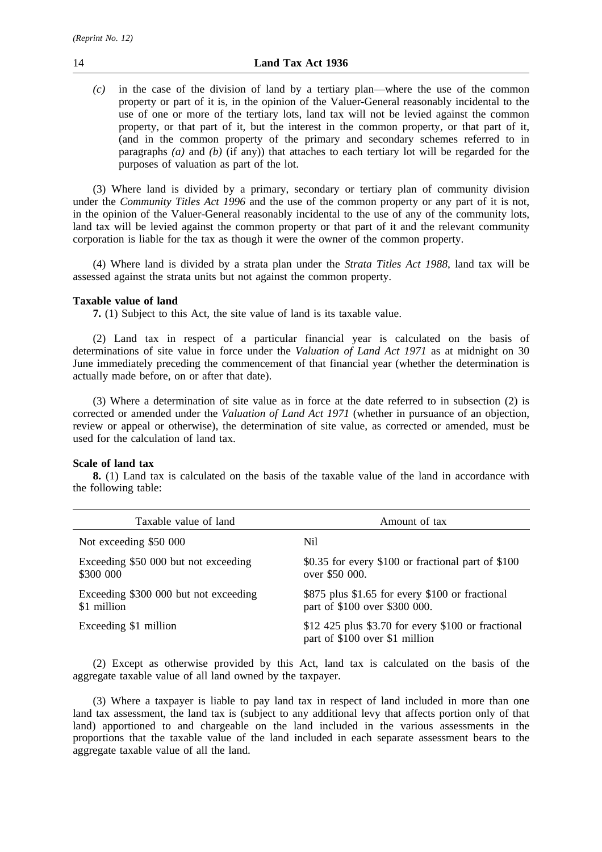*(c)* in the case of the division of land by a tertiary plan—where the use of the common property or part of it is, in the opinion of the Valuer-General reasonably incidental to the use of one or more of the tertiary lots, land tax will not be levied against the common property, or that part of it, but the interest in the common property, or that part of it, (and in the common property of the primary and secondary schemes referred to in paragraphs *(a)* and *(b)* (if any)) that attaches to each tertiary lot will be regarded for the purposes of valuation as part of the lot.

(3) Where land is divided by a primary, secondary or tertiary plan of community division under the *Community Titles Act 1996* and the use of the common property or any part of it is not, in the opinion of the Valuer-General reasonably incidental to the use of any of the community lots, land tax will be levied against the common property or that part of it and the relevant community corporation is liable for the tax as though it were the owner of the common property.

(4) Where land is divided by a strata plan under the *Strata Titles Act 1988*, land tax will be assessed against the strata units but not against the common property.

### **Taxable value of land**

**7.** (1) Subject to this Act, the site value of land is its taxable value.

(2) Land tax in respect of a particular financial year is calculated on the basis of determinations of site value in force under the *Valuation of Land Act 1971* as at midnight on 30 June immediately preceding the commencement of that financial year (whether the determination is actually made before, on or after that date).

(3) Where a determination of site value as in force at the date referred to in subsection (2) is corrected or amended under the *Valuation of Land Act 1971* (whether in pursuance of an objection, review or appeal or otherwise), the determination of site value, as corrected or amended, must be used for the calculation of land tax.

### **Scale of land tax**

**8.** (1) Land tax is calculated on the basis of the taxable value of the land in accordance with the following table:

| Taxable value of land                                | Amount of tax                                                                        |
|------------------------------------------------------|--------------------------------------------------------------------------------------|
| Not exceeding \$50 000                               | Nil                                                                                  |
| Exceeding \$50 000 but not exceeding<br>\$300 000    | \$0.35 for every \$100 or fractional part of \$100<br>over \$50 000.                 |
| Exceeding \$300 000 but not exceeding<br>\$1 million | \$875 plus \$1.65 for every \$100 or fractional<br>part of \$100 over \$300 000.     |
| Exceeding \$1 million                                | \$12,425 plus \$3.70 for every \$100 or fractional<br>part of \$100 over \$1 million |

(2) Except as otherwise provided by this Act, land tax is calculated on the basis of the aggregate taxable value of all land owned by the taxpayer.

(3) Where a taxpayer is liable to pay land tax in respect of land included in more than one land tax assessment, the land tax is (subject to any additional levy that affects portion only of that land) apportioned to and chargeable on the land included in the various assessments in the proportions that the taxable value of the land included in each separate assessment bears to the aggregate taxable value of all the land.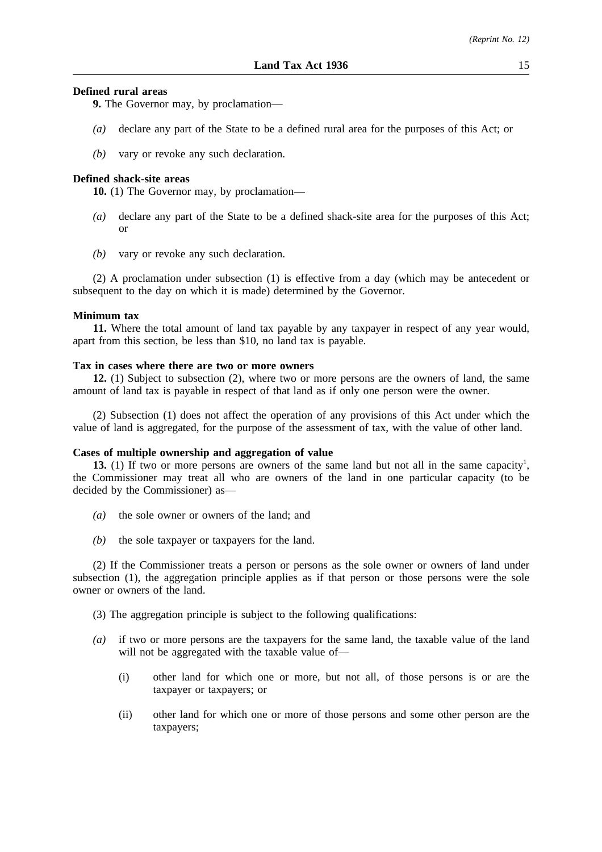### **Defined rural areas**

**9.** The Governor may, by proclamation—

- *(a)* declare any part of the State to be a defined rural area for the purposes of this Act; or
- *(b)* vary or revoke any such declaration.

#### **Defined shack-site areas**

**10.** (1) The Governor may, by proclamation—

- *(a)* declare any part of the State to be a defined shack-site area for the purposes of this Act; or
- *(b)* vary or revoke any such declaration.

(2) A proclamation under subsection (1) is effective from a day (which may be antecedent or subsequent to the day on which it is made) determined by the Governor.

### **Minimum tax**

**11.** Where the total amount of land tax payable by any taxpayer in respect of any year would, apart from this section, be less than \$10, no land tax is payable.

### **Tax in cases where there are two or more owners**

**12.** (1) Subject to subsection (2), where two or more persons are the owners of land, the same amount of land tax is payable in respect of that land as if only one person were the owner.

(2) Subsection (1) does not affect the operation of any provisions of this Act under which the value of land is aggregated, for the purpose of the assessment of tax, with the value of other land.

### **Cases of multiple ownership and aggregation of value**

**13.** (1) If two or more persons are owners of the same land but not all in the same capacity<sup>1</sup>, the Commissioner may treat all who are owners of the land in one particular capacity (to be decided by the Commissioner) as—

- *(a)* the sole owner or owners of the land; and
- *(b)* the sole taxpayer or taxpayers for the land.

(2) If the Commissioner treats a person or persons as the sole owner or owners of land under subsection (1), the aggregation principle applies as if that person or those persons were the sole owner or owners of the land.

(3) The aggregation principle is subject to the following qualifications:

- *(a)* if two or more persons are the taxpayers for the same land, the taxable value of the land will not be aggregated with the taxable value of—
	- (i) other land for which one or more, but not all, of those persons is or are the taxpayer or taxpayers; or
	- (ii) other land for which one or more of those persons and some other person are the taxpayers;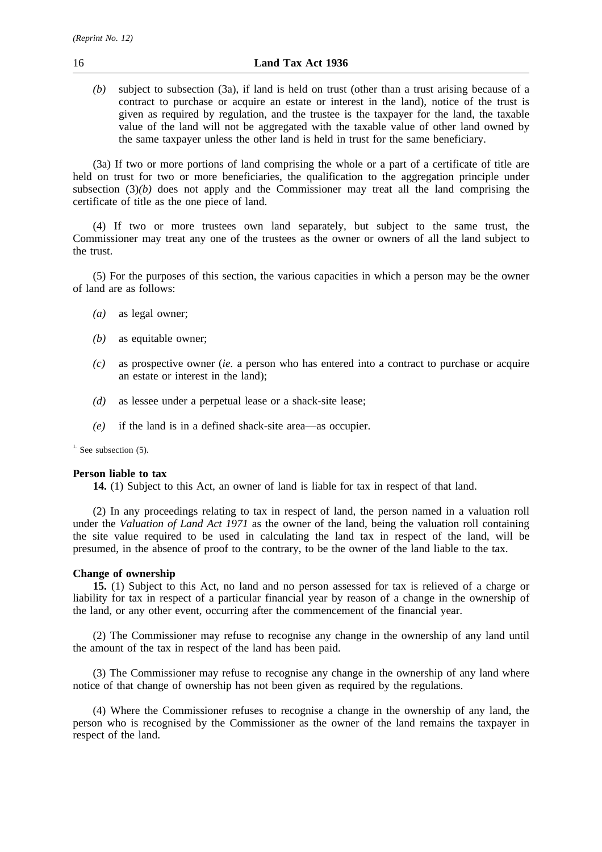*(b)* subject to subsection (3a), if land is held on trust (other than a trust arising because of a contract to purchase or acquire an estate or interest in the land), notice of the trust is given as required by regulation, and the trustee is the taxpayer for the land, the taxable value of the land will not be aggregated with the taxable value of other land owned by the same taxpayer unless the other land is held in trust for the same beneficiary.

(3a) If two or more portions of land comprising the whole or a part of a certificate of title are held on trust for two or more beneficiaries, the qualification to the aggregation principle under subsection  $(3)(b)$  does not apply and the Commissioner may treat all the land comprising the certificate of title as the one piece of land.

(4) If two or more trustees own land separately, but subject to the same trust, the Commissioner may treat any one of the trustees as the owner or owners of all the land subject to the trust.

(5) For the purposes of this section, the various capacities in which a person may be the owner of land are as follows:

- *(a)* as legal owner;
- *(b)* as equitable owner;
- *(c)* as prospective owner (*ie.* a person who has entered into a contract to purchase or acquire an estate or interest in the land);
- *(d)* as lessee under a perpetual lease or a shack-site lease;
- *(e)* if the land is in a defined shack-site area—as occupier.

 $<sup>1</sup>$ . See subsection (5).</sup>

### **Person liable to tax**

**14.** (1) Subject to this Act, an owner of land is liable for tax in respect of that land.

(2) In any proceedings relating to tax in respect of land, the person named in a valuation roll under the *Valuation of Land Act 1971* as the owner of the land, being the valuation roll containing the site value required to be used in calculating the land tax in respect of the land, will be presumed, in the absence of proof to the contrary, to be the owner of the land liable to the tax.

# **Change of ownership**

**15.** (1) Subject to this Act, no land and no person assessed for tax is relieved of a charge or liability for tax in respect of a particular financial year by reason of a change in the ownership of the land, or any other event, occurring after the commencement of the financial year.

(2) The Commissioner may refuse to recognise any change in the ownership of any land until the amount of the tax in respect of the land has been paid.

(3) The Commissioner may refuse to recognise any change in the ownership of any land where notice of that change of ownership has not been given as required by the regulations.

(4) Where the Commissioner refuses to recognise a change in the ownership of any land, the person who is recognised by the Commissioner as the owner of the land remains the taxpayer in respect of the land.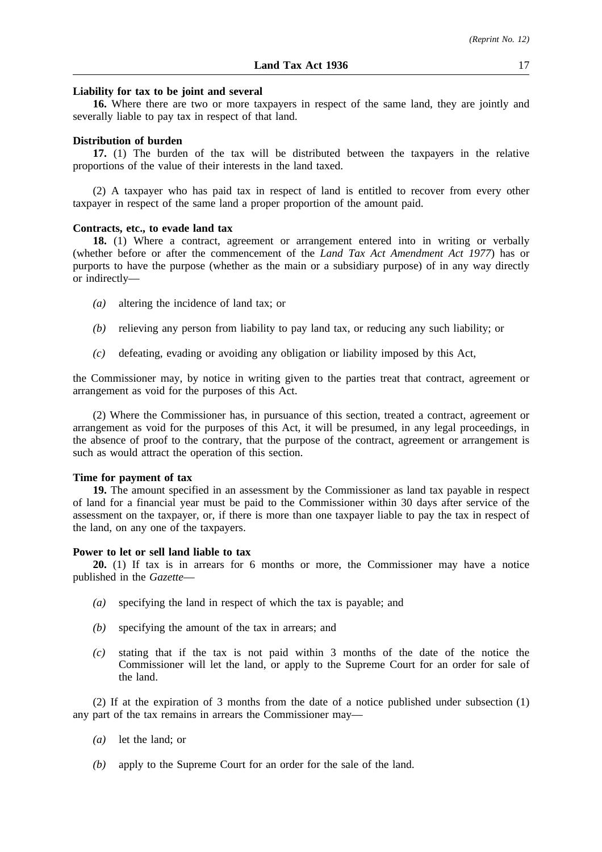### **Liability for tax to be joint and several**

**16.** Where there are two or more taxpayers in respect of the same land, they are jointly and severally liable to pay tax in respect of that land.

### **Distribution of burden**

**17.** (1) The burden of the tax will be distributed between the taxpayers in the relative proportions of the value of their interests in the land taxed.

(2) A taxpayer who has paid tax in respect of land is entitled to recover from every other taxpayer in respect of the same land a proper proportion of the amount paid.

### **Contracts, etc., to evade land tax**

**18.** (1) Where a contract, agreement or arrangement entered into in writing or verbally (whether before or after the commencement of the *Land Tax Act Amendment Act 1977*) has or purports to have the purpose (whether as the main or a subsidiary purpose) of in any way directly or indirectly—

- *(a)* altering the incidence of land tax; or
- *(b)* relieving any person from liability to pay land tax, or reducing any such liability; or
- *(c)* defeating, evading or avoiding any obligation or liability imposed by this Act,

the Commissioner may, by notice in writing given to the parties treat that contract, agreement or arrangement as void for the purposes of this Act.

(2) Where the Commissioner has, in pursuance of this section, treated a contract, agreement or arrangement as void for the purposes of this Act, it will be presumed, in any legal proceedings, in the absence of proof to the contrary, that the purpose of the contract, agreement or arrangement is such as would attract the operation of this section.

### **Time for payment of tax**

**19.** The amount specified in an assessment by the Commissioner as land tax payable in respect of land for a financial year must be paid to the Commissioner within 30 days after service of the assessment on the taxpayer, or, if there is more than one taxpayer liable to pay the tax in respect of the land, on any one of the taxpayers.

### **Power to let or sell land liable to tax**

**20.** (1) If tax is in arrears for 6 months or more, the Commissioner may have a notice published in the *Gazette*—

- *(a)* specifying the land in respect of which the tax is payable; and
- *(b)* specifying the amount of the tax in arrears; and
- *(c)* stating that if the tax is not paid within 3 months of the date of the notice the Commissioner will let the land, or apply to the Supreme Court for an order for sale of the land.

(2) If at the expiration of 3 months from the date of a notice published under subsection (1) any part of the tax remains in arrears the Commissioner may—

- *(a)* let the land; or
- *(b)* apply to the Supreme Court for an order for the sale of the land.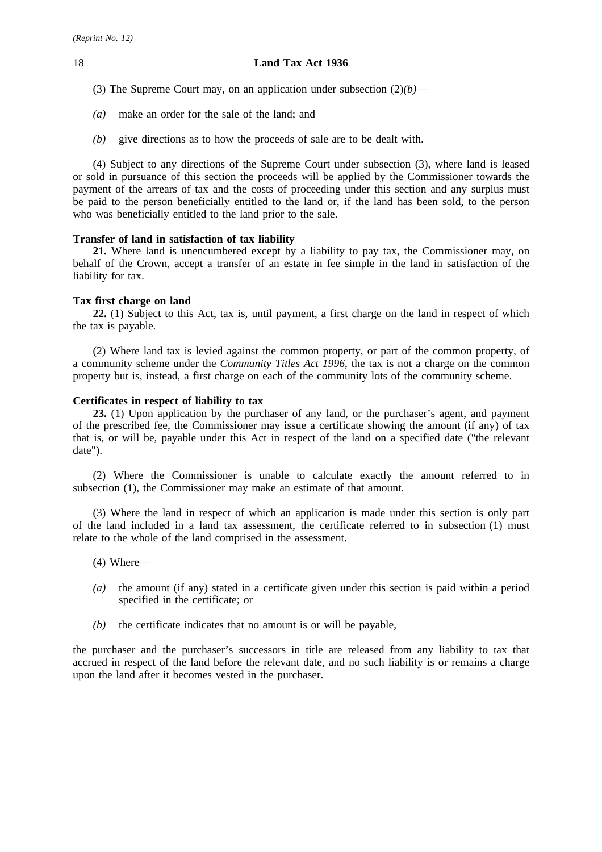- (3) The Supreme Court may, on an application under subsection (2)*(b)*—
- *(a)* make an order for the sale of the land; and
- *(b)* give directions as to how the proceeds of sale are to be dealt with.

(4) Subject to any directions of the Supreme Court under subsection (3), where land is leased or sold in pursuance of this section the proceeds will be applied by the Commissioner towards the payment of the arrears of tax and the costs of proceeding under this section and any surplus must be paid to the person beneficially entitled to the land or, if the land has been sold, to the person who was beneficially entitled to the land prior to the sale.

# **Transfer of land in satisfaction of tax liability**

**21.** Where land is unencumbered except by a liability to pay tax, the Commissioner may, on behalf of the Crown, accept a transfer of an estate in fee simple in the land in satisfaction of the liability for tax.

### **Tax first charge on land**

**22.** (1) Subject to this Act, tax is, until payment, a first charge on the land in respect of which the tax is payable.

(2) Where land tax is levied against the common property, or part of the common property, of a community scheme under the *Community Titles Act 1996*, the tax is not a charge on the common property but is, instead, a first charge on each of the community lots of the community scheme.

### **Certificates in respect of liability to tax**

**23.** (1) Upon application by the purchaser of any land, or the purchaser's agent, and payment of the prescribed fee, the Commissioner may issue a certificate showing the amount (if any) of tax that is, or will be, payable under this Act in respect of the land on a specified date ("the relevant date").

(2) Where the Commissioner is unable to calculate exactly the amount referred to in subsection (1), the Commissioner may make an estimate of that amount.

(3) Where the land in respect of which an application is made under this section is only part of the land included in a land tax assessment, the certificate referred to in subsection (1) must relate to the whole of the land comprised in the assessment.

- (4) Where—
- *(a)* the amount (if any) stated in a certificate given under this section is paid within a period specified in the certificate; or
- *(b)* the certificate indicates that no amount is or will be payable,

the purchaser and the purchaser's successors in title are released from any liability to tax that accrued in respect of the land before the relevant date, and no such liability is or remains a charge upon the land after it becomes vested in the purchaser.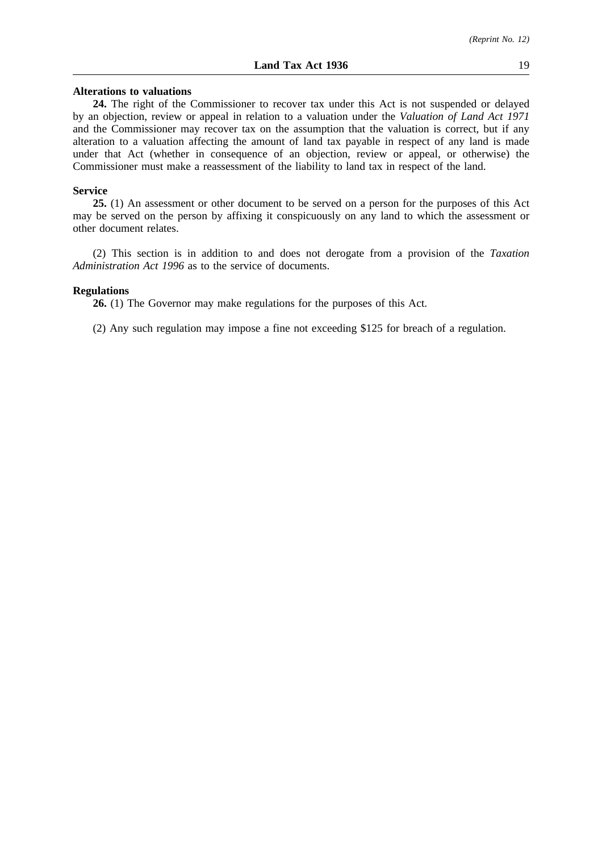**24.** The right of the Commissioner to recover tax under this Act is not suspended or delayed by an objection, review or appeal in relation to a valuation under the *Valuation of Land Act 1971* and the Commissioner may recover tax on the assumption that the valuation is correct, but if any alteration to a valuation affecting the amount of land tax payable in respect of any land is made under that Act (whether in consequence of an objection, review or appeal, or otherwise) the Commissioner must make a reassessment of the liability to land tax in respect of the land.

# **Service**

**25.** (1) An assessment or other document to be served on a person for the purposes of this Act may be served on the person by affixing it conspicuously on any land to which the assessment or other document relates.

(2) This section is in addition to and does not derogate from a provision of the *Taxation Administration Act 1996* as to the service of documents.

### **Regulations**

**26.** (1) The Governor may make regulations for the purposes of this Act.

(2) Any such regulation may impose a fine not exceeding \$125 for breach of a regulation.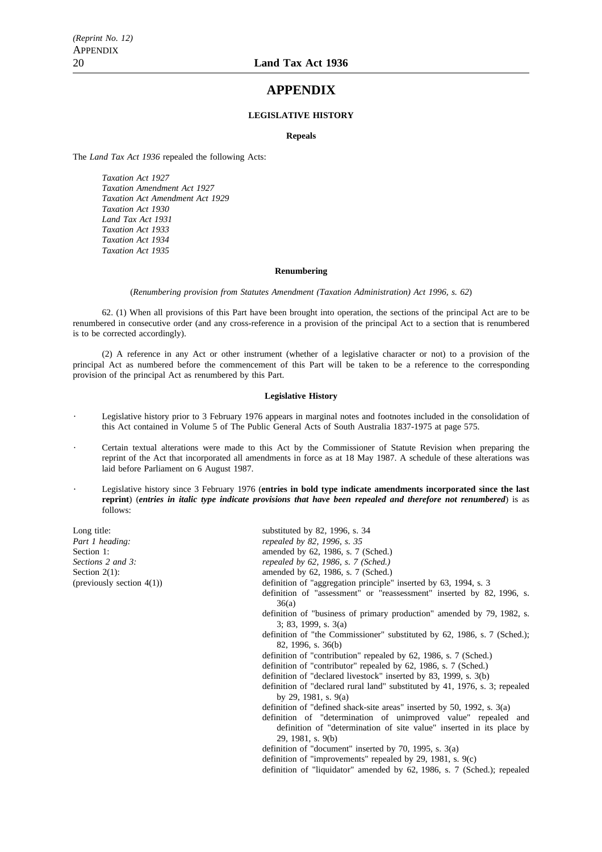# **APPENDIX**

### **LEGISLATIVE HISTORY**

#### **Repeals**

The *Land Tax Act 1936* repealed the following Acts:

*Taxation Act 1927 Taxation Amendment Act 1927 Taxation Act Amendment Act 1929 Taxation Act 1930 Land Tax Act 1931 Taxation Act 1933 Taxation Act 1934 Taxation Act 1935*

### **Renumbering**

(*Renumbering provision from Statutes Amendment (Taxation Administration) Act 1996, s. 62*)

62. (1) When all provisions of this Part have been brought into operation, the sections of the principal Act are to be renumbered in consecutive order (and any cross-reference in a provision of the principal Act to a section that is renumbered is to be corrected accordingly).

(2) A reference in any Act or other instrument (whether of a legislative character or not) to a provision of the principal Act as numbered before the commencement of this Part will be taken to be a reference to the corresponding provision of the principal Act as renumbered by this Part.

#### **Legislative History**

- Legislative history prior to 3 February 1976 appears in marginal notes and footnotes included in the consolidation of this Act contained in Volume 5 of The Public General Acts of South Australia 1837-1975 at page 575.
- Certain textual alterations were made to this Act by the Commissioner of Statute Revision when preparing the reprint of the Act that incorporated all amendments in force as at 18 May 1987. A schedule of these alterations was laid before Parliament on 6 August 1987.
- Legislative history since 3 February 1976 (**entries in bold type indicate amendments incorporated since the last reprint**) (*entries in italic type indicate provisions that have been repealed and therefore not renumbered*) is as follows:

Long title:<br> **Example 1** 22, 1996, s. 34<br> **Part 1** heading:<br> **Example 2.** 1996, s. 35<br> **Example 2.** 1996, s. 35 *Prepealed by 82, 1996, s. 35* Section 1: amended by 62, 1986, s. 7 (Sched.) *Sections 2 and 3: repealed by 62, 1986, s. 7 (Sched.)*<br> **Section 2(1): amended by 62, 1986, s. 7 (Sched.)** Section 2(1):<br>
(previously section 4(1)) amended by 62, 1986, s. 7 (Sched.)<br>
definition of "aggregation principle" definition of "aggregation principle" inserted by 63, 1994, s.  $3$ definition of "assessment" or "reassessment" inserted by 82, 1996, s. 36(a) definition of "business of primary production" amended by 79, 1982, s. 3; 83, 1999, s. 3(a) definition of "the Commissioner" substituted by 62, 1986, s. 7 (Sched.); 82, 1996, s. 36(b) definition of "contribution" repealed by 62, 1986, s. 7 (Sched.) definition of "contributor" repealed by 62, 1986, s. 7 (Sched.) definition of "declared livestock" inserted by 83, 1999, s. 3(b) definition of "declared rural land" substituted by 41, 1976, s. 3; repealed by 29, 1981, s. 9(a) definition of "defined shack-site areas" inserted by 50, 1992, s. 3(a) definition of "determination of unimproved value" repealed and definition of "determination of site value" inserted in its place by 29, 1981, s. 9(b) definition of "document" inserted by 70, 1995, s. 3(a)

definition of "improvements" repealed by 29, 1981, s. 9(c)

definition of "liquidator" amended by 62, 1986, s. 7 (Sched.); repealed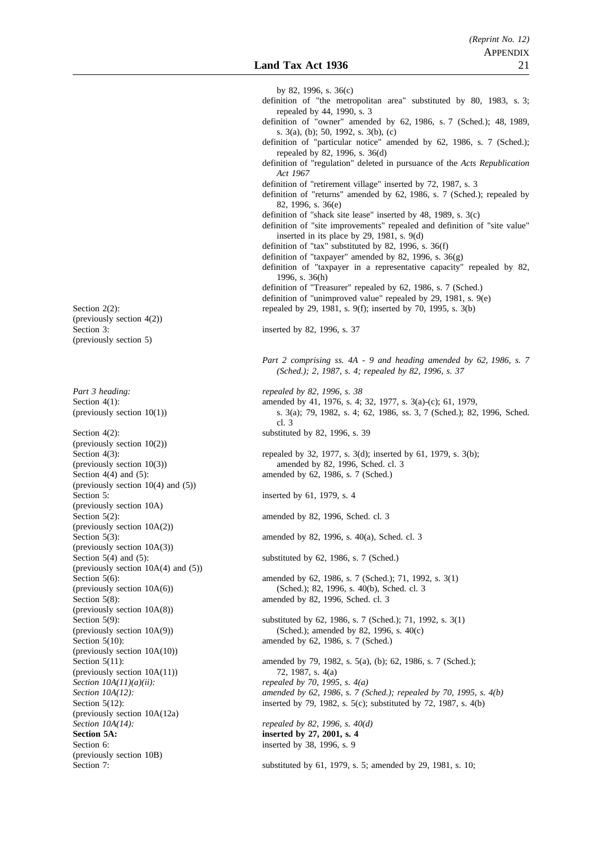by 82, 1996, s. 36(c) definition of "the metropolitan area" substituted by 80, 1983, s. 3; repealed by 44, 1990, s. 3 definition of "owner" amended by 62, 1986, s. 7 (Sched.); 48, 1989, s. 3(a), (b); 50, 1992, s. 3(b), (c) definition of "particular notice" amended by 62, 1986, s. 7 (Sched.); repealed by 82, 1996, s. 36(d) definition of "regulation" deleted in pursuance of the *Acts Republication Act 1967* definition of "retirement village" inserted by 72, 1987, s. 3 definition of "returns" amended by 62, 1986, s. 7 (Sched.); repealed by 82, 1996, s. 36(e) definition of "shack site lease" inserted by 48, 1989, s. 3(c) definition of "site improvements" repealed and definition of "site value" inserted in its place by 29, 1981, s. 9(d) definition of "tax" substituted by 82, 1996, s. 36(f) definition of "taxpayer" amended by 82, 1996, s. 36(g) definition of "taxpayer in a representative capacity" repealed by 82, 1996, s. 36(h) definition of "Treasurer" repealed by 62, 1986, s. 7 (Sched.) definition of "unimproved value" repealed by 29, 1981, s. 9(e) Section 2(2): repealed by 29, 1981, s. 9(f); inserted by 70, 1995, s. 3(b) Section 3: inserted by 82, 1996, s. 37 *Part 2 comprising ss. 4A - 9 and heading amended by 62, 1986, s. 7 (Sched.); 2, 1987, s. 4; repealed by 82, 1996, s. 37 Part 3 heading: repealed by 82, 1996, s. 38* Section 4(1): amended by 41, 1976, s. 4; 32, 1977, s. 3(a)-(c); 61, 1979, (previously section 10(1)) s. 3(a); 79, 1982, s. 4; 62, 1986, ss. 3, 7 (Sched.); 82, 1996, Sched. cl. 3 Section 4(2): substituted by 82, 1996, s. 39 Section 4(3): repealed by 32, 1977, s. 3(d); inserted by 61, 1979, s. 3(b); (previously section 10(3)) amended by 82, 1996, Sched. cl. 3 Section 4(4) and (5): amended by 62, 1986, s. 7 (Sched.) Section 5(2): amended by 82, 1996, Sched. cl. 3 Section 5(3): **amended** by 82, 1996, s. 40(a), Sched. cl. 3 Section 5(4) and (5): substituted by 62, 1986, s. 7 (Sched.) Section 5(6): amended by 62, 1986, s. 7 (Sched.); 71, 1992, s. 3(1) (previously section 10A(6)) (Sched.); 82, 1996, s. 40(b), Sched. cl. 3 Section 5(8): amended by 82, 1996, Sched. cl. 3 Section 5(9): substituted by 62, 1986, s. 7 (Sched.); 71, 1992, s. 3(1) (previously section  $10A(9)$ ) (Sched.); amended by 82, 1996, s. 40(c) Section 5(10): amended by 62, 1986, s. 7 (Sched.) Section 5(11): amended by 79, 1982, s. 5(a), (b); 62, 1986, s. 7 (Sched.); *sepealed by 70, 1995, s. 4(a) Section 10A(12): amended by 62, 1986, s. 7 (Sched.); repealed by 70, 1995, s. 4(b)* Section 5(12): inserted by 79, 1982, s. 5(c); substituted by 72, 1987, s. 4(b) *repealed by 82, 1996, s. 40(d)* 

(previously section 4(2)) (previously section 5)

(previously section 10(2)) (previously section 10(4) and (5)) Section 5: inserted by 61, 1979, s. 4 (previously section 10A) (previously section 10A(2)) (previously section 10A(3)) (previously section 10A(4) and (5)) (previously section 10A(8)) (previously section 10A(10)) (previously section 10A(11))  $\begin{array}{ccc} 72,1987, s. \ 4(a) \ 2,27,1987, s. \ 4(a) \ 7,1992 \end{array}$ (previously section  $10A(12a)$ <br>Section  $10A(14)$ : **Section 5A:** inserted by 27, 2001, s. 4 Section 6: inserted by 38, 1996, s. 9 (previously section 10B) Section 7: substituted by 61, 1979, s. 5; amended by 29, 1981, s. 10;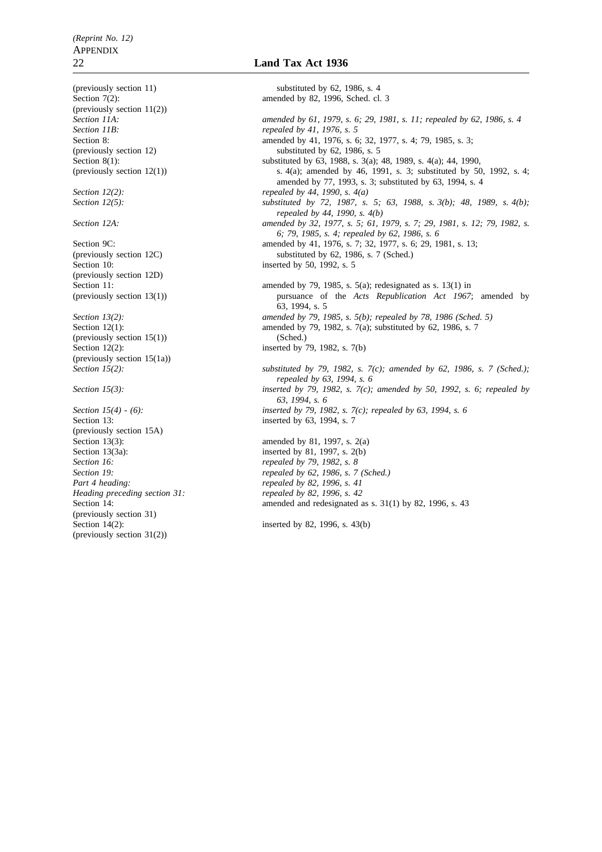(previously section 11) substituted by 62, 1986, s. 4 (previously section  $11(2)$ )<br>Section  $11A$ : *Section 11B: repealed by 41, 1976, s. 5 Section 12(2): repealed by 44, 1990, s. 4(a)* Section 10: inserted by 50, 1992, s. 5 (previously section 12D)  $(\text{previously section } 15(1))$  (Sched.) Section  $12(2)$ : inserted by 79, 1982, s. 7(b) (previously section 15(1a)) Section 13: inserted by 63, 1994, s. 7 (previously section 15A) Section 13(3):<br>Section 13(3a):<br>Section 13(3a):<br>Section 13(3a):<br>Section 13(3a):<br>Section 13(3a): *Section 16: repealed by 79, 1982, s. 8*<br>*Section 19: repealed by 62. 1986. s. 7 Heading preceding section 31: repealed by 82, 1996, s. 42* (previously section 31) Section 14(2): inserted by 82, 1996, s. 43(b)

(previously section 31(2))

### 22 **Land Tax Act 1936**

Section 7(2): amended by 82, 1996, Sched. cl. 3 *Section 11, 1979, s. 6; 29, 1981, s. 11; repealed by 62, 1986, s. 4* Section 8: **amended** by 41, 1976, s. 6; 32, 1977, s. 4; 79, 1985, s. 3; **(previously section 12) amended** by 62, 1986, s. 5 substituted by 62, 1986, s.  $5$ Section 8(1): substituted by 63, 1988, s. 3(a); 48, 1989, s. 4(a); 44, 1990, (previously section 12(1)) s. 4(a); amended by 46, 1991, s. 3; substituted by 50, 1992, s. 4; amended by 77, 1993, s. 3; substituted by 63, 1994, s. 4 *Section 12(5): substituted by 72, 1987, s. 5; 63, 1988, s. 3(b); 48, 1989, s. 4(b); repealed by 44, 1990, s. 4(b) Section 12A: amended by 32, 1977, s. 5; 61, 1979, s. 7; 29, 1981, s. 12; 79, 1982, s. 6; 79, 1985, s. 4; repealed by 62, 1986, s. 6* Section 9C: amended by 41, 1976, s. 7; 32, 1977, s. 6; 29, 1981, s. 13; (previously section 12C) substituted by 62, 1986, s. 7 (Sched.) Section 11: amended by 79, 1985, s. 5(a); redesignated as s. 13(1) in pursuance of the Acts Republication Act 1967; pursuance of the *Acts Republication Act 1967*; amended by 63, 1994, s. 5 *Section 13(2): amended by 79, 1985, s. 5(b); repealed by 78, 1986 (Sched. 5)*<br>Section 12(1): **amended by 79, 1982, s. 7(a); substituted by 62, 1986, s. 7** amended by 79, 1982, s. 7(a); substituted by 62, 1986, s. 7 *Section 15(2): substituted by 79, 1982, s. 7(c); amended by 62, 1986, s. 7 (Sched.); repealed by 63, 1994, s. 6 Section 15(3): inserted by 79, 1982, s. 7(c); amended by 50, 1992, s. 6; repealed by 63, 1994, s. 6 Section 15(4) - (6): inserted by 79, 1982, s. 7(c); repealed by 63, 1994, s. 6* inserted by 81, 1997, s.  $2(b)$ *Section 19: repealed by 62, 1986, s. 7 (Sched.)*<br> *Part 4 heading: repealed by 82, 1996, s. 41 Prepealed by 82, 1996, s. 41* Section 14: amended and redesignated as s. 31(1) by 82, 1996, s. 43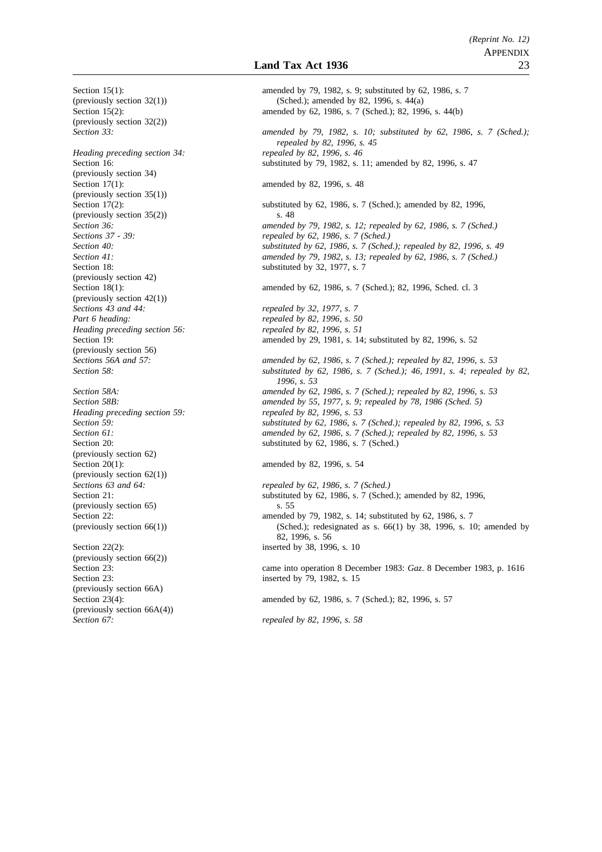(previously section 32(2)) *Heading preceding section 34: repealed by 82, 1996, s. 46* (previously section 34) Section 17(1): amended by 82, 1996, s. 48 (previously section 35(1)) (previously section  $35(2)$ ) s. 48 Section 18: substituted by 32, 1977, s. 7 (previously section 42) (previously section 42(1)) *Sections 43 and 44: repealed by 32, 1977, s. 7 Part 6 heading: repealed by 82, 1996, s. 50 Heading preceding section 56:* repealed by 82, 1996, s. 51 (previously section 56)<br>Sections 56A and 57: *Heading preceding section 59: repealed by 82, 1996, s. 53* (previously section 62) Section 20(1): amended by 82, 1996, s. 54 (previously section 62(1)) (previously section 65) s. 55 Section 22(2): inserted by 38, 1996, s. 10 (previously section 66(2)) Section 23: inserted by 79, 1982, s. 15 (previously section 66A) (previously section 66A(4)) *Section 67: repealed by 82, 1996, s. 58*

Section 15(1): amended by 79, 1982, s. 9; substituted by 62, 1986, s. 7 (previously section  $32(1)$ ) (Sched.); amended by 82, 1996, s. 44(a) Section 15(2): amended by 62, 1986, s. 7 (Sched.); 82, 1996, s. 44(b) *Section 33: amended by 79, 1982, s. 10; substituted by 62, 1986, s. 7 (Sched.); repealed by 82, 1996, s. 45* Section 16: substituted by 79, 1982, s. 11; amended by 82, 1996, s. 47 Section 17(2): substituted by 62, 1986, s. 7 (Sched.); amended by 82, 1996, *Section 36: amended by 79, 1982, s. 12; repealed by 62, 1986, s. 7 (Sched.) Sections 37 - 39: repealed by 62, 1986, s. 7 (Sched.) Section 40: substituted by 62, 1986, s. 7 (Sched.); repealed by 82, 1996, s. 49 Section 41: amended by 79, 1982, s. 13; repealed by 62, 1986, s. 7 (Sched.)* Section 18(1): amended by 62, 1986, s. 7 (Sched.); 82, 1996, Sched. cl. 3 Section 19: **amended** by 29, 1981, s. 14; substituted by 82, 1996, s. 52 *Sections 56A and 57: amended by 62, 1986, s. 7 (Sched.); repealed by 82, 1996, s. 53 Section 58: substituted by 62, 1986, s. 7 (Sched.); 46, 1991, s. 4; repealed by 82, 1996, s. 53 Section 58A: amended by 62, 1986, s. 7 (Sched.); repealed by 82, 1996, s. 53 Section 58B: amended by 55, 1977, s. 9; repealed by 78, 1986 (Sched. 5) Section 59: substituted by 62, 1986, s. 7 (Sched.); repealed by 82, 1996, s. 53 Section 61: amended by 62, 1986, s. 7 (Sched.); repealed by 82, 1996, s. 53* Section 20: substituted by 62, 1986, s. 7 (Sched.) *Sections 63 and 64: repealed by 62, 1986, s. 7 (Sched.)* Section 21: substituted by 62, 1986, s. 7 (Sched.); amended by 82, 1996, Section 22: **amended by 79, 1982, s. 14; substituted by 62, 1986, s. 7** (previously section  $66(1)$ ) (Sched.); redesignated as s.  $66(1)$  by 38, 1996, s. 10; amended by 82, 1996, s. 56 Section 23: came into operation 8 December 1983: *Gaz*. 8 December 1983, p. 1616 Section 23(4): amended by 62, 1986, s. 7 (Sched.); 82, 1996, s. 57